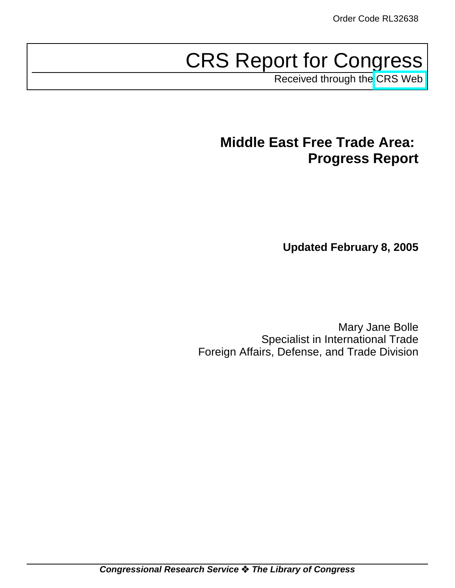# CRS Report for Congress

Received through the [CRS Web](http://www.fas.org/sgp/crs/mideast/index.html)

## **Middle East Free Trade Area: Progress Report**

**Updated February 8, 2005**

Mary Jane Bolle Specialist in International Trade Foreign Affairs, Defense, and Trade Division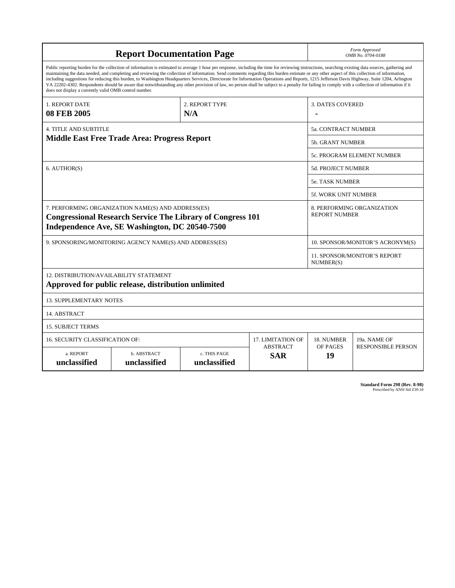| <b>Report Documentation Page</b>                                                                                                                                                                                                                                                                                                                                                                                                                                                                                                                                                                                                                                                                                                                                                                                                                                   |                                                     |  |                | Form Approved<br>OMB No. 0704-0188               |              |  |
|--------------------------------------------------------------------------------------------------------------------------------------------------------------------------------------------------------------------------------------------------------------------------------------------------------------------------------------------------------------------------------------------------------------------------------------------------------------------------------------------------------------------------------------------------------------------------------------------------------------------------------------------------------------------------------------------------------------------------------------------------------------------------------------------------------------------------------------------------------------------|-----------------------------------------------------|--|----------------|--------------------------------------------------|--------------|--|
| Public reporting burden for the collection of information is estimated to average 1 hour per response, including the time for reviewing instructions, searching existing data sources, gathering and<br>maintaining the data needed, and completing and reviewing the collection of information. Send comments regarding this burden estimate or any other aspect of this collection of information,<br>including suggestions for reducing this burden, to Washington Headquarters Services, Directorate for Information Operations and Reports, 1215 Jefferson Davis Highway, Suite 1204, Arlington<br>VA 22202-4302. Respondents should be aware that notwithstanding any other provision of law, no person shall be subject to a penalty for failing to comply with a collection of information if it<br>does not display a currently valid OMB control number. |                                                     |  |                |                                                  |              |  |
| 2. REPORT TYPE<br>1. REPORT DATE                                                                                                                                                                                                                                                                                                                                                                                                                                                                                                                                                                                                                                                                                                                                                                                                                                   |                                                     |  |                | 3. DATES COVERED                                 |              |  |
| <b>08 FEB 2005</b><br>N/A                                                                                                                                                                                                                                                                                                                                                                                                                                                                                                                                                                                                                                                                                                                                                                                                                                          |                                                     |  |                |                                                  |              |  |
| <b>4. TITLE AND SUBTITLE</b>                                                                                                                                                                                                                                                                                                                                                                                                                                                                                                                                                                                                                                                                                                                                                                                                                                       |                                                     |  |                | <b>5a. CONTRACT NUMBER</b>                       |              |  |
|                                                                                                                                                                                                                                                                                                                                                                                                                                                                                                                                                                                                                                                                                                                                                                                                                                                                    | <b>Middle East Free Trade Area: Progress Report</b> |  |                | <b>5b. GRANT NUMBER</b>                          |              |  |
|                                                                                                                                                                                                                                                                                                                                                                                                                                                                                                                                                                                                                                                                                                                                                                                                                                                                    |                                                     |  |                | 5c. PROGRAM ELEMENT NUMBER                       |              |  |
| 6. AUTHOR(S)                                                                                                                                                                                                                                                                                                                                                                                                                                                                                                                                                                                                                                                                                                                                                                                                                                                       |                                                     |  |                | <b>5d. PROJECT NUMBER</b>                        |              |  |
|                                                                                                                                                                                                                                                                                                                                                                                                                                                                                                                                                                                                                                                                                                                                                                                                                                                                    |                                                     |  |                | <b>5e. TASK NUMBER</b>                           |              |  |
|                                                                                                                                                                                                                                                                                                                                                                                                                                                                                                                                                                                                                                                                                                                                                                                                                                                                    |                                                     |  |                | <b>5f. WORK UNIT NUMBER</b>                      |              |  |
| 7. PERFORMING ORGANIZATION NAME(S) AND ADDRESS(ES)<br>8. PERFORMING ORGANIZATION<br><b>REPORT NUMBER</b><br><b>Congressional Research Service The Library of Congress 101</b><br>Independence Ave, SE Washington, DC 20540-7500                                                                                                                                                                                                                                                                                                                                                                                                                                                                                                                                                                                                                                    |                                                     |  |                |                                                  |              |  |
| 9. SPONSORING/MONITORING AGENCY NAME(S) AND ADDRESS(ES)                                                                                                                                                                                                                                                                                                                                                                                                                                                                                                                                                                                                                                                                                                                                                                                                            |                                                     |  |                | 10. SPONSOR/MONITOR'S ACRONYM(S)                 |              |  |
|                                                                                                                                                                                                                                                                                                                                                                                                                                                                                                                                                                                                                                                                                                                                                                                                                                                                    |                                                     |  |                | <b>11. SPONSOR/MONITOR'S REPORT</b><br>NUMBER(S) |              |  |
| 12. DISTRIBUTION/AVAILABILITY STATEMENT<br>Approved for public release, distribution unlimited                                                                                                                                                                                                                                                                                                                                                                                                                                                                                                                                                                                                                                                                                                                                                                     |                                                     |  |                |                                                  |              |  |
| <b>13. SUPPLEMENTARY NOTES</b>                                                                                                                                                                                                                                                                                                                                                                                                                                                                                                                                                                                                                                                                                                                                                                                                                                     |                                                     |  |                |                                                  |              |  |
| 14. ABSTRACT                                                                                                                                                                                                                                                                                                                                                                                                                                                                                                                                                                                                                                                                                                                                                                                                                                                       |                                                     |  |                |                                                  |              |  |
| <b>15. SUBJECT TERMS</b>                                                                                                                                                                                                                                                                                                                                                                                                                                                                                                                                                                                                                                                                                                                                                                                                                                           |                                                     |  |                |                                                  |              |  |
| 16. SECURITY CLASSIFICATION OF:<br>17. LIMITATION OF                                                                                                                                                                                                                                                                                                                                                                                                                                                                                                                                                                                                                                                                                                                                                                                                               |                                                     |  |                |                                                  | 19a. NAME OF |  |
| <b>ABSTRACT</b><br>a. REPORT<br>b. ABSTRACT<br>c. THIS PAGE<br><b>SAR</b><br>unclassified<br>unclassified<br>unclassified                                                                                                                                                                                                                                                                                                                                                                                                                                                                                                                                                                                                                                                                                                                                          |                                                     |  | OF PAGES<br>19 | <b>RESPONSIBLE PERSON</b>                        |              |  |

**Standard Form 298 (Rev. 8-98)**<br>Prescribed by ANSI Std Z39-18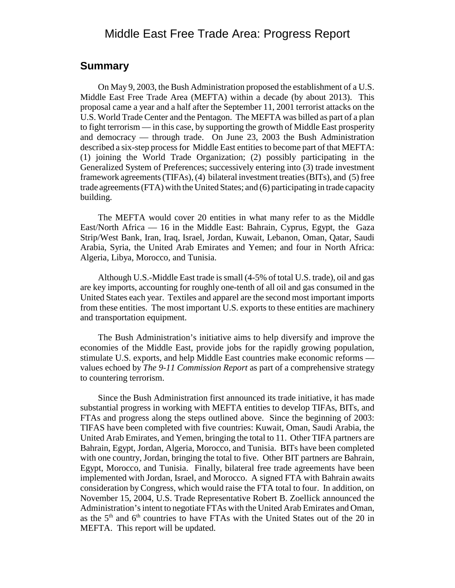## Middle East Free Trade Area: Progress Report

### **Summary**

On May 9, 2003, the Bush Administration proposed the establishment of a U.S. Middle East Free Trade Area (MEFTA) within a decade (by about 2013). This proposal came a year and a half after the September 11, 2001 terrorist attacks on the U.S. World Trade Center and the Pentagon. The MEFTA was billed as part of a plan to fight terrorism — in this case, by supporting the growth of Middle East prosperity and democracy — through trade. On June 23, 2003 the Bush Administration described a six-step process for Middle East entities to become part of that MEFTA: (1) joining the World Trade Organization; (2) possibly participating in the Generalized System of Preferences; successively entering into (3) trade investment framework agreements (TIFAs), (4) bilateral investment treaties (BITs), and (5) free trade agreements (FTA) with the United States; and (6) participating in trade capacity building.

The MEFTA would cover 20 entities in what many refer to as the Middle East/North Africa — 16 in the Middle East: Bahrain, Cyprus, Egypt, the Gaza Strip/West Bank, Iran, Iraq, Israel, Jordan, Kuwait, Lebanon, Oman, Qatar, Saudi Arabia, Syria, the United Arab Emirates and Yemen; and four in North Africa: Algeria, Libya, Morocco, and Tunisia.

Although U.S.-Middle East trade is small (4-5% of total U.S. trade), oil and gas are key imports, accounting for roughly one-tenth of all oil and gas consumed in the United States each year. Textiles and apparel are the second most important imports from these entities. The most important U.S. exports to these entities are machinery and transportation equipment.

The Bush Administration's initiative aims to help diversify and improve the economies of the Middle East, provide jobs for the rapidly growing population, stimulate U.S. exports, and help Middle East countries make economic reforms values echoed by *The 9-11 Commission Report* as part of a comprehensive strategy to countering terrorism.

Since the Bush Administration first announced its trade initiative, it has made substantial progress in working with MEFTA entities to develop TIFAs, BITs, and FTAs and progress along the steps outlined above. Since the beginning of 2003: TIFAS have been completed with five countries: Kuwait, Oman, Saudi Arabia, the United Arab Emirates, and Yemen, bringing the total to 11. Other TIFA partners are Bahrain, Egypt, Jordan, Algeria, Morocco, and Tunisia. BITs have been completed with one country, Jordan, bringing the total to five. Other BIT partners are Bahrain, Egypt, Morocco, and Tunisia. Finally, bilateral free trade agreements have been implemented with Jordan, Israel, and Morocco. A signed FTA with Bahrain awaits consideration by Congress, which would raise the FTA total to four. In addition, on November 15, 2004, U.S. Trade Representative Robert B. Zoellick announced the Administration's intent to negotiate FTAs with the United Arab Emirates and Oman, as the  $5<sup>th</sup>$  and  $6<sup>th</sup>$  countries to have FTAs with the United States out of the 20 in MEFTA. This report will be updated.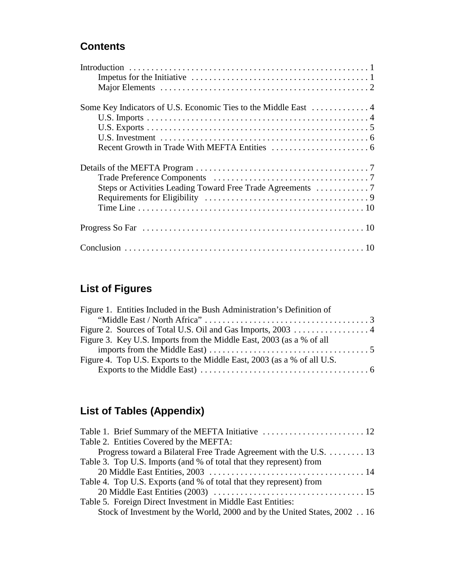## **Contents**

## **List of Figures**

| Figure 1. Entities Included in the Bush Administration's Definition of  |  |
|-------------------------------------------------------------------------|--|
|                                                                         |  |
|                                                                         |  |
| Figure 3. Key U.S. Imports from the Middle East, 2003 (as a % of all    |  |
|                                                                         |  |
| Figure 4. Top U.S. Exports to the Middle East, 2003 (as a % of all U.S. |  |
|                                                                         |  |

## **List of Tables (Appendix)**

| Table 2. Entities Covered by the MEFTA:                                  |
|--------------------------------------------------------------------------|
| Progress toward a Bilateral Free Trade Agreement with the U.S. 13        |
| Table 3. Top U.S. Imports (and % of total that they represent) from      |
|                                                                          |
| Table 4. Top U.S. Exports (and % of total that they represent) from      |
|                                                                          |
| Table 5. Foreign Direct Investment in Middle East Entities:              |
| Stock of Investment by the World, 2000 and by the United States, 2002 16 |
|                                                                          |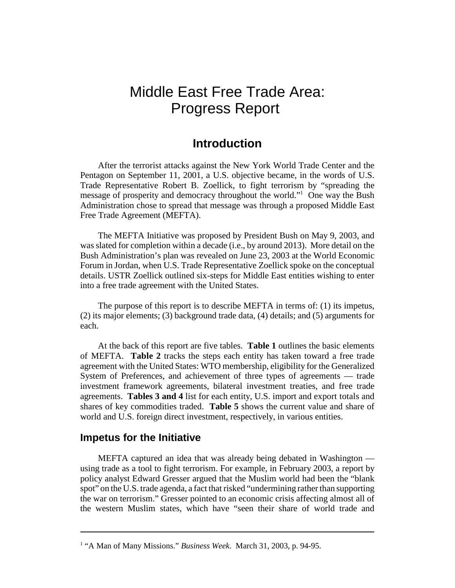## Middle East Free Trade Area: Progress Report

## **Introduction**

After the terrorist attacks against the New York World Trade Center and the Pentagon on September 11, 2001, a U.S. objective became, in the words of U.S. Trade Representative Robert B. Zoellick, to fight terrorism by "spreading the message of prosperity and democracy throughout the world."<sup>1</sup> One way the Bush Administration chose to spread that message was through a proposed Middle East Free Trade Agreement (MEFTA).

The MEFTA Initiative was proposed by President Bush on May 9, 2003, and was slated for completion within a decade (i.e., by around 2013). More detail on the Bush Administration's plan was revealed on June 23, 2003 at the World Economic Forum in Jordan, when U.S. Trade Representative Zoellick spoke on the conceptual details. USTR Zoellick outlined six-steps for Middle East entities wishing to enter into a free trade agreement with the United States.

The purpose of this report is to describe MEFTA in terms of: (1) its impetus, (2) its major elements; (3) background trade data, (4) details; and (5) arguments for each.

At the back of this report are five tables. **Table 1** outlines the basic elements of MEFTA. **Table 2** tracks the steps each entity has taken toward a free trade agreement with the United States: WTO membership, eligibility for the Generalized System of Preferences, and achievement of three types of agreements — trade investment framework agreements, bilateral investment treaties, and free trade agreements. **Tables 3 and 4** list for each entity, U.S. import and export totals and shares of key commodities traded. **Table 5** shows the current value and share of world and U.S. foreign direct investment, respectively, in various entities.

#### **Impetus for the Initiative**

MEFTA captured an idea that was already being debated in Washington using trade as a tool to fight terrorism. For example, in February 2003, a report by policy analyst Edward Gresser argued that the Muslim world had been the "blank spot" on the U.S. trade agenda, a fact that risked "undermining rather than supporting the war on terrorism." Gresser pointed to an economic crisis affecting almost all of the western Muslim states, which have "seen their share of world trade and

<sup>&</sup>lt;sup>1</sup> "A Man of Many Missions." *Business Week*. March 31, 2003, p. 94-95.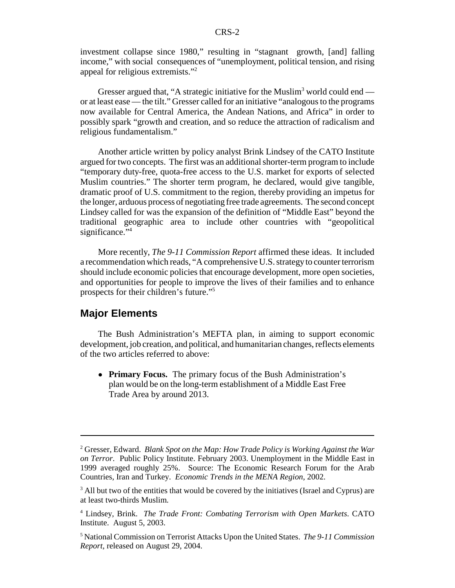investment collapse since 1980," resulting in "stagnant growth, [and] falling income," with social consequences of "unemployment, political tension, and rising appeal for religious extremists."<sup>2</sup>

Gresser argued that, "A strategic initiative for the Muslim<sup>3</sup> world could end or at least ease — the tilt." Gresser called for an initiative "analogous to the programs now available for Central America, the Andean Nations, and Africa" in order to possibly spark "growth and creation, and so reduce the attraction of radicalism and religious fundamentalism."

Another article written by policy analyst Brink Lindsey of the CATO Institute argued for two concepts. The first was an additional shorter-term program to include "temporary duty-free, quota-free access to the U.S. market for exports of selected Muslim countries." The shorter term program, he declared, would give tangible, dramatic proof of U.S. commitment to the region, thereby providing an impetus for the longer, arduous process of negotiating free trade agreements. The second concept Lindsey called for was the expansion of the definition of "Middle East" beyond the traditional geographic area to include other countries with "geopolitical significance."<sup>4</sup>

More recently, *The 9-11 Commission Report* affirmed these ideas. It included a recommendation which reads, "A comprehensive U.S. strategy to counter terrorism should include economic policies that encourage development, more open societies, and opportunities for people to improve the lives of their families and to enhance prospects for their children's future."5

#### **Major Elements**

The Bush Administration's MEFTA plan, in aiming to support economic development, job creation, and political, and humanitarian changes, reflects elements of the two articles referred to above:

! **Primary Focus.** The primary focus of the Bush Administration's plan would be on the long-term establishment of a Middle East Free Trade Area by around 2013.

<sup>2</sup> Gresser, Edward. *Blank Spot on the Map: How Trade Policy is Working Against the War on Terror*. Public Policy Institute. February 2003. Unemployment in the Middle East in 1999 averaged roughly 25%. Source: The Economic Research Forum for the Arab Countries, Iran and Turkey. *Economic Trends in the MENA Region*, 2002.

<sup>&</sup>lt;sup>3</sup> All but two of the entities that would be covered by the initiatives (Israel and Cyprus) are at least two-thirds Muslim.

<sup>4</sup> Lindsey, Brink. *The Trade Front: Combating Terrorism with Open Markets*. CATO Institute. August 5, 2003.

<sup>5</sup> National Commission on Terrorist Attacks Upon the United States. *The 9-11 Commission Report,* released on August 29, 2004.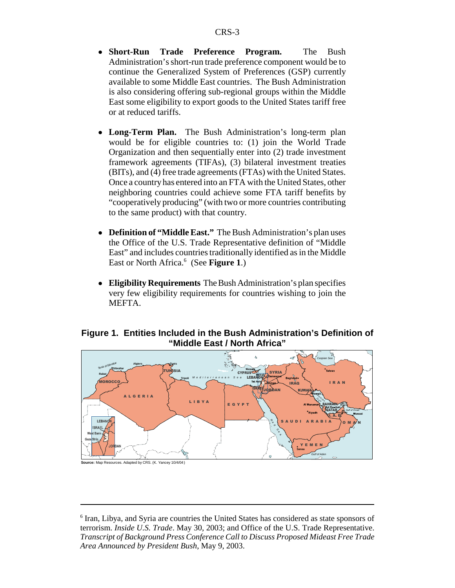- ! **Short-Run Trade Preference Program.** The Bush Administration's short-run trade preference component would be to continue the Generalized System of Preferences (GSP) currently available to some Middle East countries. The Bush Administration is also considering offering sub-regional groups within the Middle East some eligibility to export goods to the United States tariff free or at reduced tariffs.
- Long-Term Plan. The Bush Administration's long-term plan would be for eligible countries to: (1) join the World Trade Organization and then sequentially enter into (2) trade investment framework agreements (TIFAs), (3) bilateral investment treaties (BITs), and (4) free trade agreements (FTAs) with the United States. Once a country has entered into an FTA with the United States, other neighboring countries could achieve some FTA tariff benefits by "cooperatively producing" (with two or more countries contributing to the same product) with that country.
- ! **Definition of "Middle East."** The Bush Administration's plan uses the Office of the U.S. Trade Representative definition of "Middle East" and includes countries traditionally identified as in the Middle East or North Africa.<sup>6</sup> (See Figure 1.)
- ! **Eligibility Requirements** The Bush Administration's plan specifies very few eligibility requirements for countries wishing to join the MEFTA.

#### **Figure 1. Entities Included in the Bush Administration's Definition of "Middle East / North Africa"**



<sup>&</sup>lt;sup>6</sup> Iran, Libya, and Syria are countries the United States has considered as state sponsors of terrorism. *Inside U.S. Trade*. May 30, 2003; and Office of the U.S. Trade Representative. *Transcript of Background Press Conference Call to Discuss Proposed Mideast Free Trade Area Announced by President Bush*, May 9, 2003.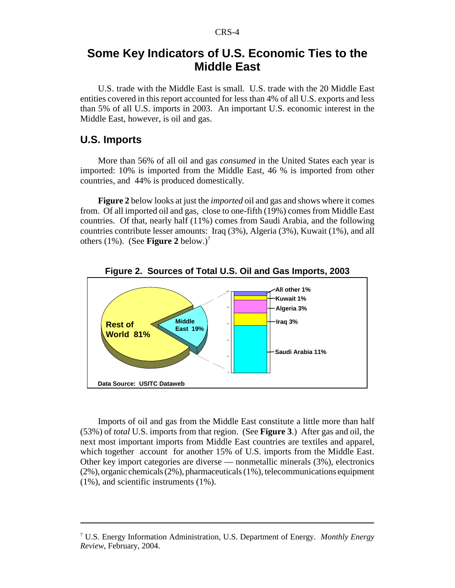## **Some Key Indicators of U.S. Economic Ties to the Middle East**

U.S. trade with the Middle East is small. U.S. trade with the 20 Middle East entities covered in this report accounted for less than 4% of all U.S. exports and less than 5% of all U.S. imports in 2003. An important U.S. economic interest in the Middle East, however, is oil and gas.

#### **U.S. Imports**

More than 56% of all oil and gas *consumed* in the United States each year is imported: 10% is imported from the Middle East, 46 % is imported from other countries, and 44% is produced domestically.

**Figure 2** below looks at just the *imported* oil and gas and shows where it comes from. Of all imported oil and gas, close to one-fifth (19%) comes from Middle East countries. Of that, nearly half (11%) comes from Saudi Arabia, and the following countries contribute lesser amounts: Iraq (3%), Algeria (3%), Kuwait (1%), and all others (1%). (See **Figure 2** below.)<sup>7</sup>



**Figure 2. Sources of Total U.S. Oil and Gas Imports, 2003**

Imports of oil and gas from the Middle East constitute a little more than half (53%) of *total* U.S. imports from that region. (See **Figure 3**.) After gas and oil, the next most important imports from Middle East countries are textiles and apparel, which together account for another 15% of U.S. imports from the Middle East. Other key import categories are diverse — nonmetallic minerals (3%), electronics (2%), organic chemicals (2%), pharmaceuticals (1%), telecommunications equipment (1%), and scientific instruments (1%).

<sup>7</sup> U.S. Energy Information Administration, U.S. Department of Energy. *Monthly Energy Review*, February, 2004.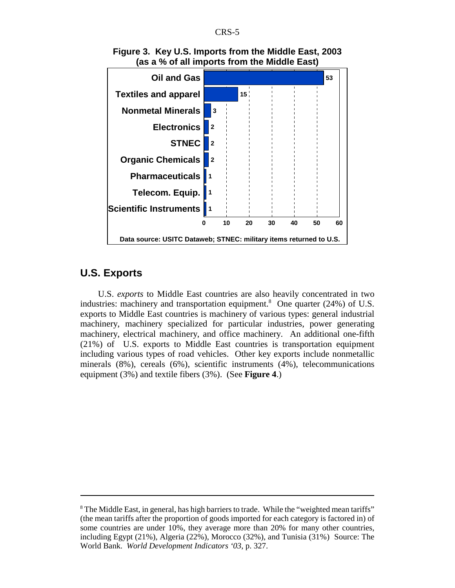

**Figure 3. Key U.S. Imports from the Middle East, 2003 (as a % of all imports from the Middle East)**

## **U.S. Exports**

U.S. *exports* to Middle East countries are also heavily concentrated in two industries: machinery and transportation equipment.<sup>8</sup> One quarter  $(24%)$  of U.S. exports to Middle East countries is machinery of various types: general industrial machinery, machinery specialized for particular industries, power generating machinery, electrical machinery, and office machinery. An additional one-fifth (21%) of U.S. exports to Middle East countries is transportation equipment including various types of road vehicles. Other key exports include nonmetallic minerals (8%), cereals (6%), scientific instruments (4%), telecommunications equipment (3%) and textile fibers (3%). (See **Figure 4**.)

<sup>&</sup>lt;sup>8</sup> The Middle East, in general, has high barriers to trade. While the "weighted mean tariffs" (the mean tariffs after the proportion of goods imported for each category is factored in) of some countries are under 10%, they average more than 20% for many other countries, including Egypt (21%), Algeria (22%), Morocco (32%), and Tunisia (31%) Source: The World Bank. *World Development Indicators '03*, p. 327.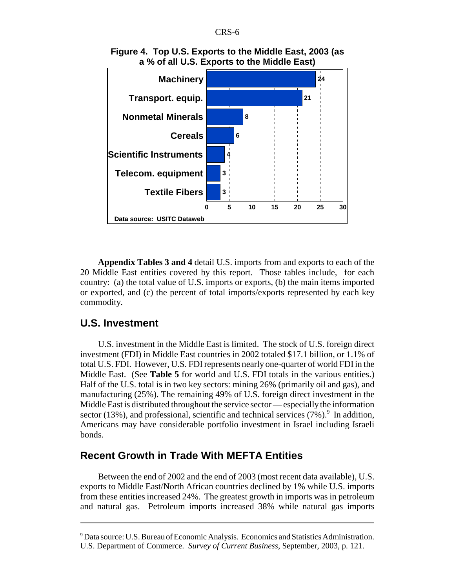



**Appendix Tables 3 and 4** detail U.S. imports from and exports to each of the 20 Middle East entities covered by this report. Those tables include, for each country: (a) the total value of U.S. imports or exports, (b) the main items imported or exported, and (c) the percent of total imports/exports represented by each key commodity.

### **U.S. Investment**

U.S. investment in the Middle East is limited. The stock of U.S. foreign direct investment (FDI) in Middle East countries in 2002 totaled \$17.1 billion, or 1.1% of total U.S. FDI. However, U.S. FDI represents nearly one-quarter of world FDI in the Middle East. (See **Table 5** for world and U.S. FDI totals in the various entities.) Half of the U.S. total is in two key sectors: mining 26% (primarily oil and gas), and manufacturing (25%). The remaining 49% of U.S. foreign direct investment in the Middle East is distributed throughout the service sector — especially the information sector (13%), and professional, scientific and technical services  $(7\%)$ . In addition, Americans may have considerable portfolio investment in Israel including Israeli bonds.

### **Recent Growth in Trade With MEFTA Entities**

Between the end of 2002 and the end of 2003 (most recent data available), U.S. exports to Middle East/North African countries declined by 1% while U.S. imports from these entities increased 24%. The greatest growth in imports was in petroleum and natural gas. Petroleum imports increased 38% while natural gas imports

<sup>&</sup>lt;sup>9</sup> Data source: U.S. Bureau of Economic Analysis. Economics and Statistics Administration. U.S. Department of Commerce. *Survey of Current Business*, September, 2003, p. 121.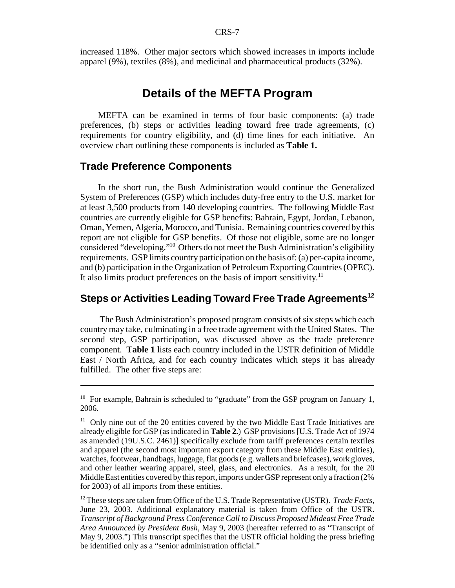increased 118%. Other major sectors which showed increases in imports include apparel (9%), textiles (8%), and medicinal and pharmaceutical products (32%).

## **Details of the MEFTA Program**

MEFTA can be examined in terms of four basic components: (a) trade preferences, (b) steps or activities leading toward free trade agreements, (c) requirements for country eligibility, and (d) time lines for each initiative. An overview chart outlining these components is included as **Table 1.**

#### **Trade Preference Components**

In the short run, the Bush Administration would continue the Generalized System of Preferences (GSP) which includes duty-free entry to the U.S. market for at least 3,500 products from 140 developing countries. The following Middle East countries are currently eligible for GSP benefits: Bahrain, Egypt, Jordan, Lebanon, Oman, Yemen, Algeria, Morocco, and Tunisia. Remaining countries covered by this report are not eligible for GSP benefits. Of those not eligible, some are no longer considered "developing."10 Others do not meet the Bush Administration's eligibility requirements. GSP limits country participation on the basis of: (a) per-capita income, and (b) participation in the Organization of Petroleum Exporting Countries (OPEC). It also limits product preferences on the basis of import sensitivity.<sup>11</sup>

## **Steps or Activities Leading Toward Free Trade Agreements12**

 The Bush Administration's proposed program consists of six steps which each country may take, culminating in a free trade agreement with the United States. The second step, GSP participation, was discussed above as the trade preference component. **Table 1** lists each country included in the USTR definition of Middle East / North Africa, and for each country indicates which steps it has already fulfilled. The other five steps are:

12 These steps are taken from Office of the U.S. Trade Representative (USTR). *Trade Facts*, June 23, 2003. Additional explanatory material is taken from Office of the USTR. *Transcript of Background Press Conference Call to Discuss Proposed Mideast Free Trade Area Announced by President Bush*, May 9, 2003 (hereafter referred to as "Transcript of May 9, 2003.") This transcript specifies that the USTR official holding the press briefing be identified only as a "senior administration official."

<sup>&</sup>lt;sup>10</sup> For example, Bahrain is scheduled to "graduate" from the GSP program on January 1, 2006.

 $11$  Only nine out of the 20 entities covered by the two Middle East Trade Initiatives are already eligible for GSP (as indicated in **Table 2.**) GSP provisions [U.S. Trade Act of 1974 as amended (19U.S.C. 2461)] specifically exclude from tariff preferences certain textiles and apparel (the second most important export category from these Middle East entities), watches, footwear, handbags, luggage, flat goods (e.g. wallets and briefcases), work gloves, and other leather wearing apparel, steel, glass, and electronics. As a result, for the 20 Middle East entities covered by this report, imports under GSP represent only a fraction (2% for 2003) of all imports from these entities.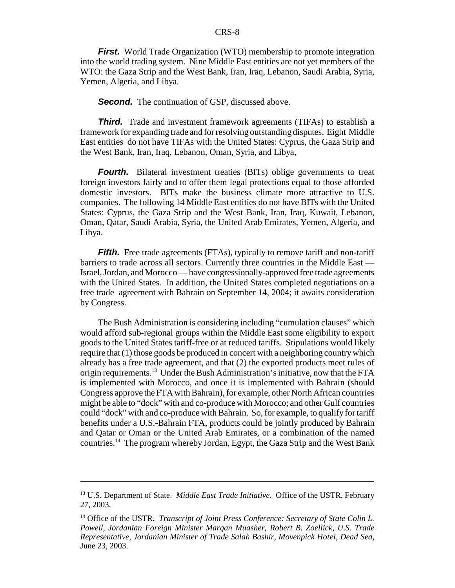*First.* World Trade Organization (WTO) membership to promote integration into the world trading system. Nine Middle East entities are not yet members of the WTO: the Gaza Strip and the West Bank, Iran, Iraq, Lebanon, Saudi Arabia, Syria, Yemen, Algeria, and Libya.

**Second.** The continuation of GSP, discussed above.

*Third.* Trade and investment framework agreements (TIFAs) to establish a framework for expanding trade and for resolving outstanding disputes. Eight Middle East entities do not have TIFAs with the United States: Cyprus, the Gaza Strip and the West Bank, Iran, Iraq, Lebanon, Oman, Syria, and Libya,

*Fourth.* Bilateral investment treaties (BITs) oblige governments to treat foreign investors fairly and to offer them legal protections equal to those afforded domestic investors. BITs make the business climate more attractive to U.S. companies. The following 14 Middle East entities do not have BITs with the United States: Cyprus, the Gaza Strip and the West Bank, Iran, Iraq, Kuwait, Lebanon, Oman, Qatar, Saudi Arabia, Syria, the United Arab Emirates, Yemen, Algeria, and Libya.

*Fifth.* Free trade agreements (FTAs), typically to remove tariff and non-tariff barriers to trade across all sectors. Currently three countries in the Middle East — Israel, Jordan, and Morocco — have congressionally-approved free trade agreements with the United States. In addition, the United States completed negotiations on a free trade agreement with Bahrain on September 14, 2004; it awaits consideration by Congress.

The Bush Administration is considering including "cumulation clauses" which would afford sub-regional groups within the Middle East some eligibility to export goods to the United States tariff-free or at reduced tariffs. Stipulations would likely require that (1) those goods be produced in concert with a neighboring country which already has a free trade agreement, and that (2) the exported products meet rules of origin requirements.13 Under the Bush Administration's initiative, now that the FTA is implemented with Morocco, and once it is implemented with Bahrain (should Congress approve the FTA with Bahrain), for example, other North African countries might be able to "dock" with and co-produce with Morocco; and other Gulf countries could "dock" with and co-produce with Bahrain. So, for example, to qualify for tariff benefits under a U.S.-Bahrain FTA, products could be jointly produced by Bahrain and Qatar or Oman or the United Arab Emirates, or a combination of the named countries.14 The program whereby Jordan, Egypt, the Gaza Strip and the West Bank

<sup>13</sup> U.S. Department of State. *Middle East Trade Initiative*. Office of the USTR, February 27, 2003.

<sup>&</sup>lt;sup>14</sup> Office of the USTR. *Transcript of Joint Press Conference: Secretary of State Colin L. Powell, Jordanian Foreign Minister Marqan Muasher, Robert B. Zoellick, U.S. Trade Representative, Jordanian Minister of Trade Salah Bashir, Movenpick Hotel, Dead Sea*, June 23, 2003.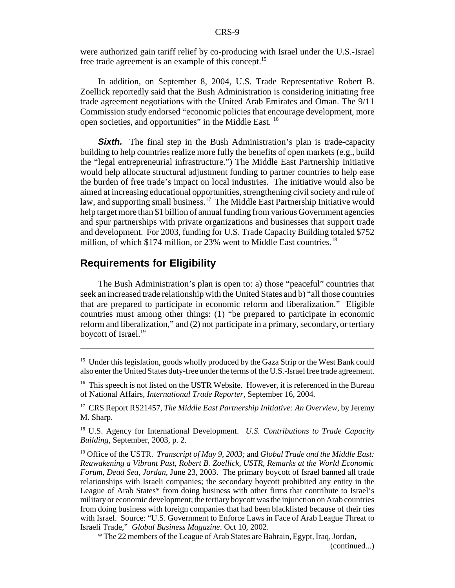were authorized gain tariff relief by co-producing with Israel under the U.S.-Israel free trade agreement is an example of this concept.15

In addition, on September 8, 2004, U.S. Trade Representative Robert B. Zoellick reportedly said that the Bush Administration is considering initiating free trade agreement negotiations with the United Arab Emirates and Oman. The 9/11 Commission study endorsed "economic policies that encourage development, more open societies, and opportunities" in the Middle East. 16

**Sixth.** The final step in the Bush Administration's plan is trade-capacity building to help countries realize more fully the benefits of open markets (e.g., build the "legal entrepreneurial infrastructure.") The Middle East Partnership Initiative would help allocate structural adjustment funding to partner countries to help ease the burden of free trade's impact on local industries. The initiative would also be aimed at increasing educational opportunities, strengthening civil society and rule of law, and supporting small business.<sup>17</sup> The Middle East Partnership Initiative would help target more than \$1 billion of annual funding from various Government agencies and spur partnerships with private organizations and businesses that support trade and development. For 2003, funding for U.S. Trade Capacity Building totaled \$752 million, of which \$174 million, or 23% went to Middle East countries.<sup>18</sup>

## **Requirements for Eligibility**

The Bush Administration's plan is open to: a) those "peaceful" countries that seek an increased trade relationship with the United States and b) "all those countries that are prepared to participate in economic reform and liberalization." Eligible countries must among other things: (1) "be prepared to participate in economic reform and liberalization," and (2) not participate in a primary, secondary, or tertiary boycott of Israel.<sup>19</sup>

<sup>&</sup>lt;sup>15</sup> Under this legislation, goods wholly produced by the Gaza Strip or the West Bank could also enter the United States duty-free under the terms of the U.S.-Israel free trade agreement.

<sup>&</sup>lt;sup>16</sup> This speech is not listed on the USTR Website. However, it is referenced in the Bureau of National Affairs, *International Trade Reporter,* September 16, 2004*.*

<sup>17</sup> CRS Report RS21457, *The Middle East Partnership Initiative: An Overview*, by Jeremy M. Sharp.

<sup>18</sup> U.S. Agency for International Development. *U.S. Contributions to Trade Capacity Building*, September, 2003, p. 2.

<sup>19</sup> Office of the USTR. *Transcript of May 9, 2003;* and *Global Trade and the Middle East: Reawakening a Vibrant Past, Robert B. Zoellick, USTR, Remarks at the World Economic Forum, Dead Sea, Jordan,* June 23, 2003. The primary boycott of Israel banned all trade relationships with Israeli companies; the secondary boycott prohibited any entity in the League of Arab States\* from doing business with other firms that contribute to Israel's military or economic development; the tertiary boycott was the injunction on Arab countries from doing business with foreign companies that had been blacklisted because of their ties with Israel. Source: "U.S. Government to Enforce Laws in Face of Arab League Threat to Israeli Trade," *Global Business Magazine*. Oct 10, 2002.

<sup>\*</sup> The 22 members of the League of Arab States are Bahrain, Egypt, Iraq, Jordan,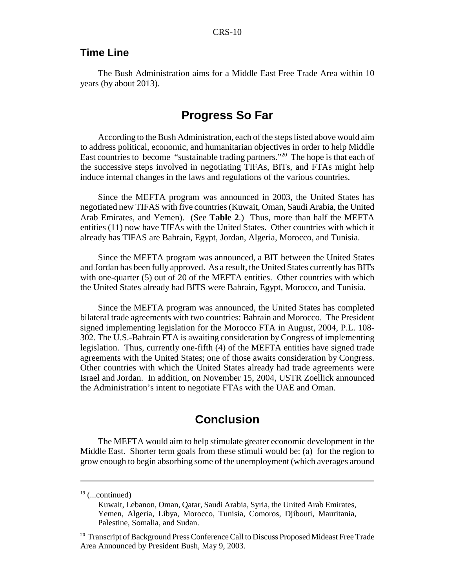### **Time Line**

The Bush Administration aims for a Middle East Free Trade Area within 10 years (by about 2013).

## **Progress So Far**

According to the Bush Administration, each of the steps listed above would aim to address political, economic, and humanitarian objectives in order to help Middle East countries to become "sustainable trading partners."20 The hope is that each of the successive steps involved in negotiating TIFAs, BITs, and FTAs might help induce internal changes in the laws and regulations of the various countries.

Since the MEFTA program was announced in 2003, the United States has negotiated new TIFAS with five countries (Kuwait, Oman, Saudi Arabia, the United Arab Emirates, and Yemen). (See **Table 2**.) Thus, more than half the MEFTA entities (11) now have TIFAs with the United States. Other countries with which it already has TIFAS are Bahrain, Egypt, Jordan, Algeria, Morocco, and Tunisia.

Since the MEFTA program was announced, a BIT between the United States and Jordan has been fully approved. As a result, the United States currently has BITs with one-quarter (5) out of 20 of the MEFTA entities. Other countries with which the United States already had BITS were Bahrain, Egypt, Morocco, and Tunisia.

Since the MEFTA program was announced, the United States has completed bilateral trade agreements with two countries: Bahrain and Morocco. The President signed implementing legislation for the Morocco FTA in August, 2004, P.L. 108- 302. The U.S.-Bahrain FTA is awaiting consideration by Congress of implementing legislation. Thus, currently one-fifth (4) of the MEFTA entities have signed trade agreements with the United States; one of those awaits consideration by Congress. Other countries with which the United States already had trade agreements were Israel and Jordan. In addition, on November 15, 2004, USTR Zoellick announced the Administration's intent to negotiate FTAs with the UAE and Oman.

## **Conclusion**

The MEFTA would aim to help stimulate greater economic development in the Middle East. Shorter term goals from these stimuli would be: (a) for the region to grow enough to begin absorbing some of the unemployment (which averages around

 $19$  (...continued)

Kuwait, Lebanon, Oman, Qatar, Saudi Arabia, Syria, the United Arab Emirates, Yemen, Algeria, Libya, Morocco, Tunisia, Comoros, Djibouti, Mauritania, Palestine, Somalia, and Sudan.

<sup>&</sup>lt;sup>20</sup> Transcript of Background Press Conference Call to Discuss Proposed Mideast Free Trade Area Announced by President Bush, May 9, 2003.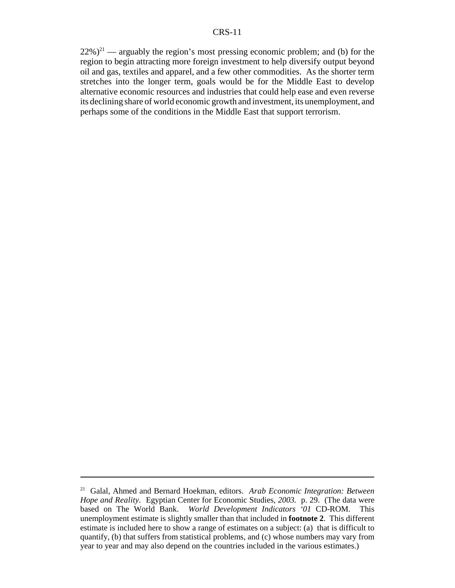$22\%)^{21}$  — arguably the region's most pressing economic problem; and (b) for the region to begin attracting more foreign investment to help diversify output beyond oil and gas, textiles and apparel, and a few other commodities. As the shorter term stretches into the longer term, goals would be for the Middle East to develop alternative economic resources and industries that could help ease and even reverse its declining share of world economic growth and investment, its unemployment, and perhaps some of the conditions in the Middle East that support terrorism.

<sup>21</sup> Galal, Ahmed and Bernard Hoekman, editors. *Arab Economic Integration: Between Hope and Reality.* Egyptian Center for Economic Studies*, 2003.* p. 29. (The data were based on The World Bank. *World Development Indicators '01* CD-ROM. This unemployment estimate is slightly smaller than that included in **footnote 2**. This different estimate is included here to show a range of estimates on a subject: (a) that is difficult to quantify, (b) that suffers from statistical problems, and (c) whose numbers may vary from year to year and may also depend on the countries included in the various estimates.)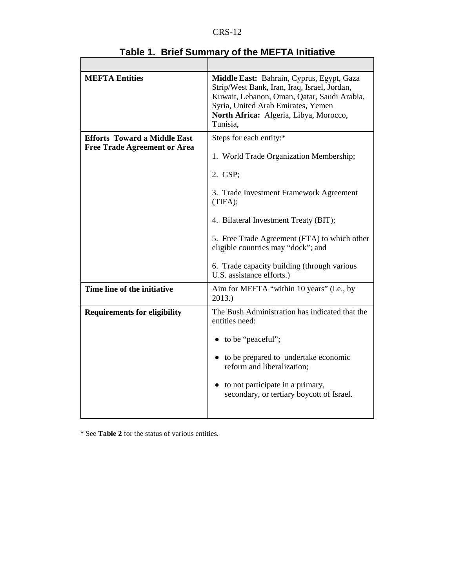| <b>MEFTA Entities</b>                                                      | Middle East: Bahrain, Cyprus, Egypt, Gaza<br>Strip/West Bank, Iran, Iraq, Israel, Jordan,<br>Kuwait, Lebanon, Oman, Qatar, Saudi Arabia,<br>Syria, United Arab Emirates, Yemen<br>North Africa: Algeria, Libya, Morocco,<br>Tunisia.                                                                                                           |
|----------------------------------------------------------------------------|------------------------------------------------------------------------------------------------------------------------------------------------------------------------------------------------------------------------------------------------------------------------------------------------------------------------------------------------|
| <b>Efforts Toward a Middle East</b><br><b>Free Trade Agreement or Area</b> | Steps for each entity:*<br>1. World Trade Organization Membership;<br>2. GSP;<br>3. Trade Investment Framework Agreement<br>(TIFA);<br>4. Bilateral Investment Treaty (BIT);<br>5. Free Trade Agreement (FTA) to which other<br>eligible countries may "dock"; and<br>6. Trade capacity building (through various<br>U.S. assistance efforts.) |
| Time line of the initiative                                                | Aim for MEFTA "within 10 years" (i.e., by<br>2013.)                                                                                                                                                                                                                                                                                            |
| <b>Requirements for eligibility</b>                                        | The Bush Administration has indicated that the<br>entities need:<br>• to be "peaceful";<br>• to be prepared to undertake economic<br>reform and liberalization;<br>• to not participate in a primary,<br>secondary, or tertiary boycott of Israel.                                                                                             |

**Table 1. Brief Summary of the MEFTA Initiative**

\* See **Table 2** for the status of various entities.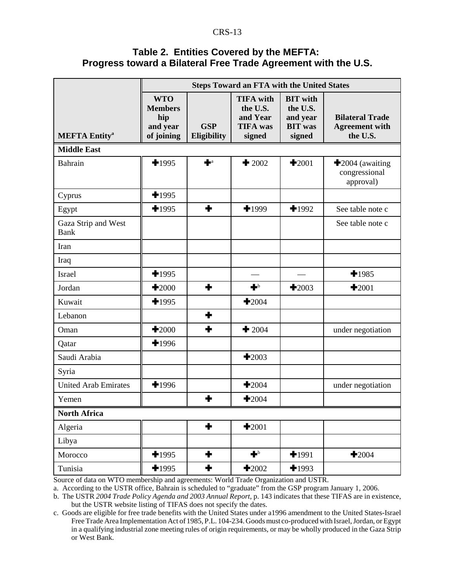#### **Table 2. Entities Covered by the MEFTA: Progress toward a Bilateral Free Trade Agreement with the U.S.**

|                                 | <b>Steps Toward an FTA with the United States</b>             |                           |                                                                       |                                                                     |                                                             |  |  |
|---------------------------------|---------------------------------------------------------------|---------------------------|-----------------------------------------------------------------------|---------------------------------------------------------------------|-------------------------------------------------------------|--|--|
| <b>MEFTA Entity<sup>a</sup></b> | <b>WTO</b><br><b>Members</b><br>hip<br>and year<br>of joining | <b>GSP</b><br>Eligibility | <b>TIFA</b> with<br>the U.S.<br>and Year<br><b>TIFA</b> was<br>signed | <b>BIT</b> with<br>the U.S.<br>and year<br><b>BIT</b> was<br>signed | <b>Bilateral Trade</b><br><b>Agreement with</b><br>the U.S. |  |  |
| <b>Middle East</b>              |                                                               |                           |                                                                       |                                                                     |                                                             |  |  |
| <b>Bahrain</b>                  | $+1995$                                                       | $\blacksquare$            | $\pm 2002$                                                            | $\bigstar 2001$                                                     | $\bigstar$ 2004 (awaiting<br>congressional<br>approval)     |  |  |
| Cyprus                          | $+1995$                                                       |                           |                                                                       |                                                                     |                                                             |  |  |
| Egypt                           | $+1995$                                                       | ٠                         | $+1999$                                                               | $+1992$                                                             | See table note c                                            |  |  |
| Gaza Strip and West<br>Bank     |                                                               |                           |                                                                       |                                                                     | See table note c                                            |  |  |
| Iran                            |                                                               |                           |                                                                       |                                                                     |                                                             |  |  |
| Iraq                            |                                                               |                           |                                                                       |                                                                     |                                                             |  |  |
| Israel                          | $+1995$                                                       |                           |                                                                       |                                                                     | $+1985$                                                     |  |  |
| Jordan                          | $\bigstar$ 2000                                               | ╋                         | $\blacksquare$                                                        | $\bigstar$ 2003                                                     | $\bigstar 2001$                                             |  |  |
| Kuwait                          | $+1995$                                                       |                           | $\bigstar 2004$                                                       |                                                                     |                                                             |  |  |
| Lebanon                         |                                                               | ٠                         |                                                                       |                                                                     |                                                             |  |  |
| Oman                            | $\bigstar$ 2000                                               | ╋                         | $\pm 2004$                                                            |                                                                     | under negotiation                                           |  |  |
| Qatar                           | $+1996$                                                       |                           |                                                                       |                                                                     |                                                             |  |  |
| Saudi Arabia                    |                                                               |                           | $\bigstar 2003$                                                       |                                                                     |                                                             |  |  |
| Syria                           |                                                               |                           |                                                                       |                                                                     |                                                             |  |  |
| <b>United Arab Emirates</b>     | $+1996$                                                       |                           | $\pm 2004$                                                            |                                                                     | under negotiation                                           |  |  |
| Yemen                           |                                                               | ╈                         | $\pm 2004$                                                            |                                                                     |                                                             |  |  |
| <b>North Africa</b>             |                                                               |                           |                                                                       |                                                                     |                                                             |  |  |
| Algeria                         |                                                               | ٠                         | $+2001$                                                               |                                                                     |                                                             |  |  |
| Libya                           |                                                               |                           |                                                                       |                                                                     |                                                             |  |  |
| Morocco                         | $+1995$                                                       | ٠                         | $\blacksquare$                                                        | $+1991$                                                             | $\bigstar$ 2004                                             |  |  |
| Tunisia                         | $+1995$                                                       | ٠                         | $+2002$                                                               | $+1993$                                                             |                                                             |  |  |

Source of data on WTO membership and agreements: World Trade Organization and USTR.

a. According to the USTR office, Bahrain is scheduled to "graduate" from the GSP program January 1, 2006.

b. The USTR *2004 Trade Policy Agenda and 2003 Annual Report*, p. 143 indicates that these TIFAS are in existence, but the USTR website listing of TIFAS does not specify the dates.

c. Goods are eligible for free trade benefits with the United States under a1996 amendment to the United States-Israel Free Trade Area Implementation Act of 1985, P.L. 104-234. Goods must co-produced with Israel, Jordan, or Egypt in a qualifying industrial zone meeting rules of origin requirements, or may be wholly produced in the Gaza Strip or West Bank.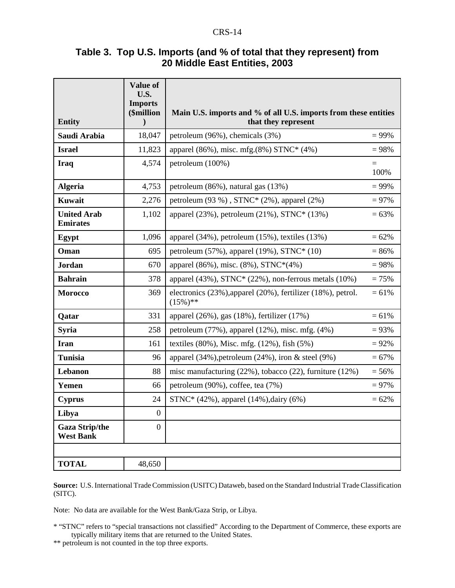| Table 3. Top U.S. Imports (and % of total that they represent) from |
|---------------------------------------------------------------------|
| 20 Middle East Entities, 2003                                       |

| <b>Entity</b>                             | Value of<br>U.S.<br><b>Imports</b><br>(\$million<br>$\lambda$ | Main U.S. imports and % of all U.S. imports from these entities<br>that they represent |             |
|-------------------------------------------|---------------------------------------------------------------|----------------------------------------------------------------------------------------|-------------|
| Saudi Arabia                              | 18,047                                                        | petroleum (96%), chemicals (3%)                                                        | $= 99\%$    |
| <b>Israel</b>                             | 11,823                                                        | apparel (86%), misc. mfg. $(8\%)$ STNC* $(4\%)$                                        | $= 98%$     |
| <b>Iraq</b>                               | 4,574                                                         | petroleum (100%)                                                                       | $=$<br>100% |
| <b>Algeria</b>                            | 4,753                                                         | petroleum (86%), natural gas (13%)                                                     | $= 99\%$    |
| Kuwait                                    | 2,276                                                         | petroleum $(93 \%)$ , STNC* $(2\%)$ , apparel $(2\%)$                                  | $= 97%$     |
| <b>United Arab</b><br><b>Emirates</b>     | 1,102                                                         | apparel (23%), petroleum (21%), STNC* (13%)                                            | $= 63%$     |
| <b>Egypt</b>                              | 1,096                                                         | apparel $(34\%)$ , petroleum $(15\%)$ , textiles $(13\%)$                              | $= 62%$     |
| Oman                                      | 695                                                           | petroleum $(57\%)$ , apparel $(19\%)$ , STNC* $(10)$                                   | $= 86%$     |
| <b>Jordan</b>                             | 670                                                           | apparel (86%), misc. (8%), STNC*(4%)                                                   | $= 98%$     |
| <b>Bahrain</b>                            | 378                                                           | apparel $(43\%)$ , STNC* $(22\%)$ , non-ferrous metals $(10\%)$                        | $= 75%$     |
| <b>Morocco</b>                            | 369                                                           | electronics (23%), apparel (20%), fertilizer (18%), petrol.<br>$(15\%)$ **             | $= 61%$     |
| Qatar                                     | 331                                                           | apparel (26%), gas (18%), fertilizer (17%)                                             | $= 61%$     |
| <b>Syria</b>                              | 258                                                           | petroleum $(77\%)$ , apparel $(12\%)$ , misc. mfg. $(4\%)$                             | $= 93%$     |
| <b>Iran</b>                               | 161                                                           | textiles $(80\%)$ , Misc. mfg. $(12\%)$ , fish $(5\%)$                                 | $= 92%$     |
| <b>Tunisia</b>                            | 96                                                            | apparel (34%), petroleum (24%), iron & steel (9%)                                      | $= 67\%$    |
| Lebanon                                   | 88                                                            | misc manufacturing $(22\%)$ , tobacco $(22)$ , furniture $(12\%)$                      | $= 56%$     |
| Yemen                                     | 66                                                            | petroleum (90%), coffee, tea (7%)                                                      | $= 97%$     |
| <b>Cyprus</b>                             | 24                                                            | STNC* (42%), apparel (14%), dairy (6%)                                                 | $= 62%$     |
| Libya                                     | $\boldsymbol{0}$                                              |                                                                                        |             |
| <b>Gaza Strip/the</b><br><b>West Bank</b> | $\boldsymbol{0}$                                              |                                                                                        |             |
|                                           |                                                               |                                                                                        |             |
| <b>TOTAL</b>                              | 48,650                                                        |                                                                                        |             |

**Source:** U.S. International Trade Commission (USITC) Dataweb, based on the Standard Industrial Trade Classification (SITC).

Note: No data are available for the West Bank/Gaza Strip, or Libya.

\* "STNC" refers to "special transactions not classified" According to the Department of Commerce, these exports are typically military items that are returned to the United States.

\*\* petroleum is not counted in the top three exports.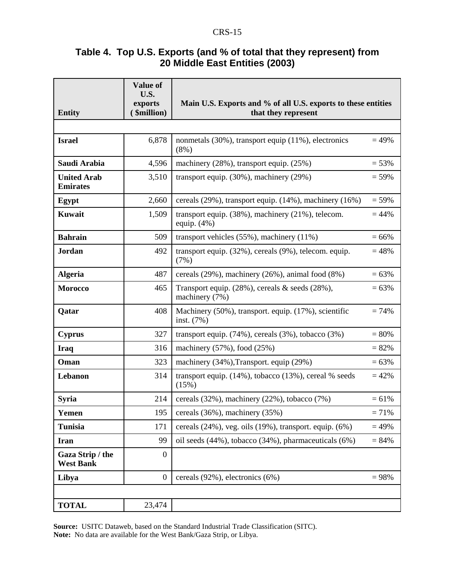## **Table 4. Top U.S. Exports (and % of total that they represent) from 20 Middle East Entities (2003)**

| <b>Entity</b>                         | <b>Value of</b><br>U.S.<br>exports<br>\$million) | Main U.S. Exports and % of all U.S. exports to these entities<br>that they represent |          |
|---------------------------------------|--------------------------------------------------|--------------------------------------------------------------------------------------|----------|
|                                       |                                                  |                                                                                      |          |
| <b>Israel</b>                         | 6,878                                            | nonmetals (30%), transport equip (11%), electronics<br>$(8\%)$                       | $= 49%$  |
| Saudi Arabia                          | 4,596                                            | machinery (28%), transport equip. (25%)                                              | $= 53%$  |
| <b>United Arab</b><br><b>Emirates</b> | 3,510                                            | transport equip. (30%), machinery (29%)                                              | $= 59%$  |
| Egypt                                 | 2,660                                            | cereals (29%), transport equip. (14%), machinery (16%)                               | $= 59%$  |
| Kuwait                                | 1,509                                            | transport equip. $(38\%)$ , machinery $(21\%)$ , telecom.<br>equip. $(4%)$           | $= 44%$  |
| <b>Bahrain</b>                        | 509                                              | transport vehicles $(55\%)$ , machinery $(11\%)$                                     | $= 66\%$ |
| Jordan                                | 492                                              | transport equip. (32%), cereals (9%), telecom. equip.<br>(7%)                        | $= 48%$  |
| <b>Algeria</b>                        | 487                                              | cereals $(29\%)$ , machinery $(26\%)$ , animal food $(8\%)$                          | $= 63%$  |
| <b>Morocco</b>                        | 465                                              | Transport equip. (28%), cereals & seeds (28%),<br>machinery (7%)                     | $= 63%$  |
| Qatar                                 | 408                                              | Machinery (50%), transport. equip. (17%), scientific<br>inst. (7%)                   | $= 74%$  |
| <b>Cyprus</b>                         | 327                                              | transport equip. $(74\%)$ , cereals $(3\%)$ , tobacco $(3\%)$                        | $= 80%$  |
| Iraq                                  | 316                                              | machinery $(57\%)$ , food $(25\%)$                                                   | $= 82%$  |
| Oman                                  | 323                                              | machinery (34%), Transport. equip (29%)                                              | $= 63%$  |
| Lebanon                               | 314                                              | transport equip. (14%), tobacco (13%), cereal % seeds<br>(15%)                       | $= 42%$  |
| <b>Syria</b>                          | 214                                              | cereals (32%), machinery (22%), tobacco (7%)                                         | $= 61\%$ |
| Yemen                                 | 195                                              | cereals (36%), machinery (35%)                                                       | $= 71%$  |
| <b>Tunisia</b>                        | 171                                              | cereals $(24\%)$ , veg. oils $(19\%)$ , transport. equip. $(6\%)$                    | $= 49%$  |
| <b>Iran</b>                           | 99                                               | oil seeds (44%), tobacco (34%), pharmaceuticals (6%)                                 | $= 84%$  |
| Gaza Strip / the<br><b>West Bank</b>  | $\boldsymbol{0}$                                 |                                                                                      |          |
| Libya                                 | $\overline{0}$                                   | cereals (92%), electronics (6%)                                                      | $= 98%$  |
|                                       |                                                  |                                                                                      |          |
| <b>TOTAL</b>                          | 23,474                                           |                                                                                      |          |

**Source:** USITC Dataweb, based on the Standard Industrial Trade Classification (SITC). **Note:** No data are available for the West Bank/Gaza Strip, or Libya.